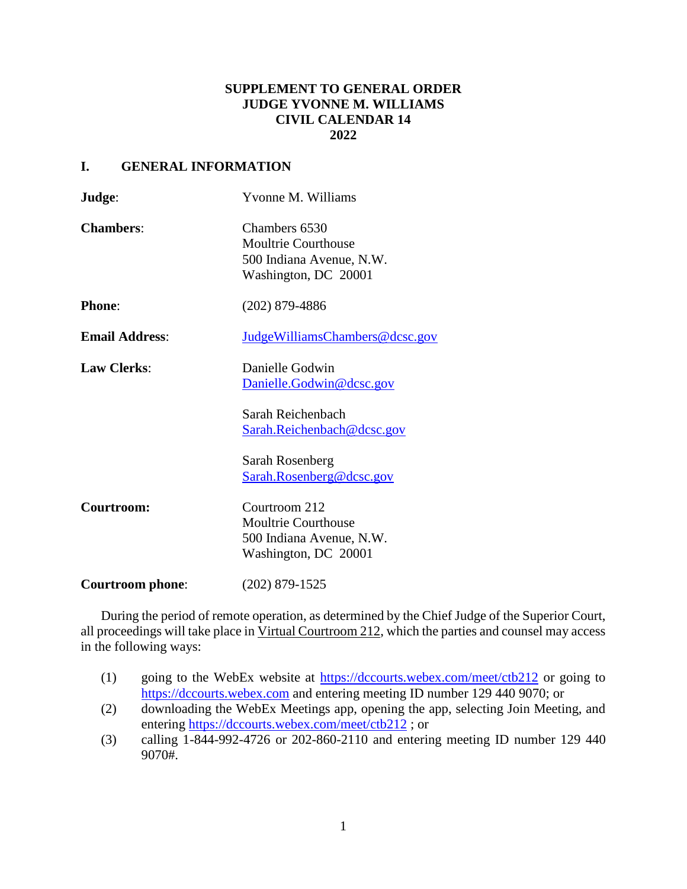# **SUPPLEMENT TO GENERAL ORDER JUDGE YVONNE M. WILLIAMS CIVIL CALENDAR 14 2022**

### **I. GENERAL INFORMATION**

| Judge:                  | Yvonne M. Williams                                                                              |
|-------------------------|-------------------------------------------------------------------------------------------------|
| <b>Chambers:</b>        | Chambers 6530<br><b>Moultrie Courthouse</b><br>500 Indiana Avenue, N.W.<br>Washington, DC 20001 |
| <b>Phone:</b>           | $(202)$ 879-4886                                                                                |
| <b>Email Address:</b>   | JudgeWilliamsChambers@dcsc.gov                                                                  |
| <b>Law Clerks:</b>      | Danielle Godwin<br>Danielle.Godwin@dcsc.gov                                                     |
|                         | Sarah Reichenbach<br>Sarah.Reichenbach@dcsc.gov                                                 |
|                         | Sarah Rosenberg<br>Sarah.Rosenberg@dcsc.gov                                                     |
| Courtroom:              | Courtroom 212<br><b>Moultrie Courthouse</b><br>500 Indiana Avenue, N.W.<br>Washington, DC 20001 |
| <b>Courtroom phone:</b> | $(202)$ 879-1525                                                                                |

During the period of remote operation, as determined by the Chief Judge of the Superior Court, all proceedings will take place in Virtual Courtroom 212, which the parties and counsel may access in the following ways:

- (1) going to the WebEx website at<https://dccourts.webex.com/meet/ctb212> or going to [https://dccourts.webex.com](https://dccourts.webex.com/) and entering meeting ID number 129 440 9070; or
- (2) downloading the WebEx Meetings app, opening the app, selecting Join Meeting, and entering<https://dccourts.webex.com/meet/ctb212> ; or
- (3) calling 1-844-992-4726 or 202-860-2110 and entering meeting ID number 129 440 9070#.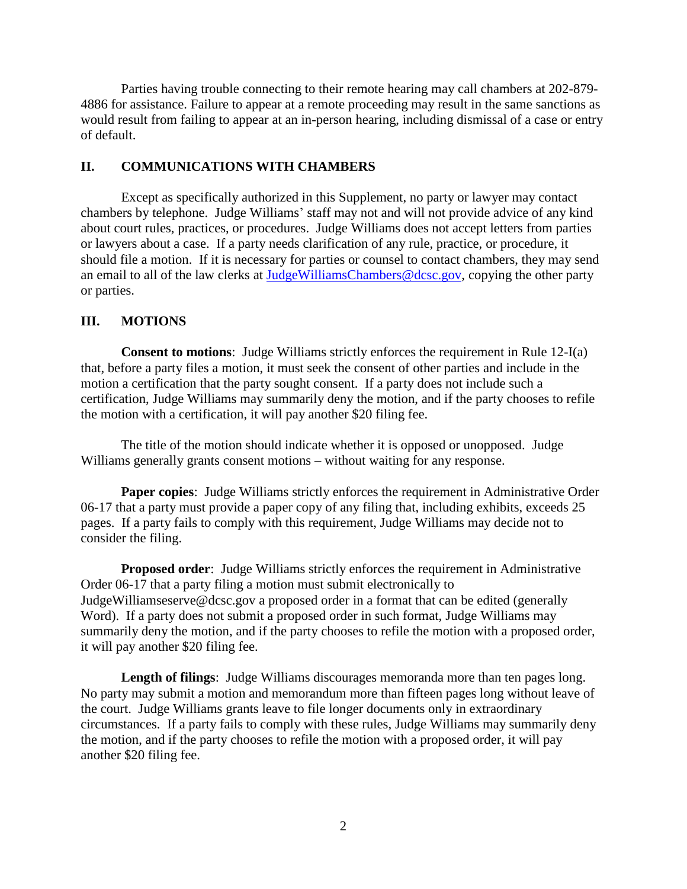Parties having trouble connecting to their remote hearing may call chambers at 202-879- 4886 for assistance. Failure to appear at a remote proceeding may result in the same sanctions as would result from failing to appear at an in-person hearing, including dismissal of a case or entry of default.

### **II. COMMUNICATIONS WITH CHAMBERS**

Except as specifically authorized in this Supplement, no party or lawyer may contact chambers by telephone. Judge Williams' staff may not and will not provide advice of any kind about court rules, practices, or procedures. Judge Williams does not accept letters from parties or lawyers about a case. If a party needs clarification of any rule, practice, or procedure, it should file a motion. If it is necessary for parties or counsel to contact chambers, they may send an email to all of the law clerks at [JudgeWilliamsChambers@dcsc.gov,](mailto:JudgeWilliamsChambers@dcsc.gov) copying the other party or parties.

#### **III. MOTIONS**

**Consent to motions**: Judge Williams strictly enforces the requirement in Rule 12-I(a) that, before a party files a motion, it must seek the consent of other parties and include in the motion a certification that the party sought consent. If a party does not include such a certification, Judge Williams may summarily deny the motion, and if the party chooses to refile the motion with a certification, it will pay another \$20 filing fee.

The title of the motion should indicate whether it is opposed or unopposed. Judge Williams generally grants consent motions – without waiting for any response.

**Paper copies**: Judge Williams strictly enforces the requirement in Administrative Order 06-17 that a party must provide a paper copy of any filing that, including exhibits, exceeds 25 pages. If a party fails to comply with this requirement, Judge Williams may decide not to consider the filing.

**Proposed order**: Judge Williams strictly enforces the requirement in Administrative Order 06-17 that a party filing a motion must submit electronically to JudgeWilliamseserve@dcsc.gov a proposed order in a format that can be edited (generally Word). If a party does not submit a proposed order in such format, Judge Williams may summarily deny the motion, and if the party chooses to refile the motion with a proposed order, it will pay another \$20 filing fee.

**Length of filings**: Judge Williams discourages memoranda more than ten pages long. No party may submit a motion and memorandum more than fifteen pages long without leave of the court. Judge Williams grants leave to file longer documents only in extraordinary circumstances. If a party fails to comply with these rules, Judge Williams may summarily deny the motion, and if the party chooses to refile the motion with a proposed order, it will pay another \$20 filing fee.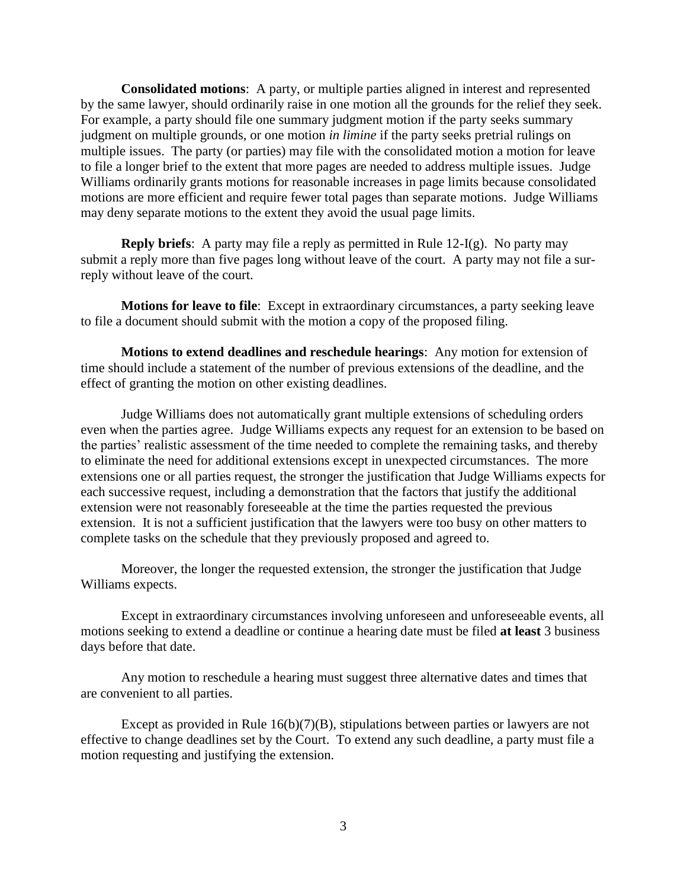**Consolidated motions**: A party, or multiple parties aligned in interest and represented by the same lawyer, should ordinarily raise in one motion all the grounds for the relief they seek. For example, a party should file one summary judgment motion if the party seeks summary judgment on multiple grounds, or one motion *in limine* if the party seeks pretrial rulings on multiple issues. The party (or parties) may file with the consolidated motion a motion for leave to file a longer brief to the extent that more pages are needed to address multiple issues. Judge Williams ordinarily grants motions for reasonable increases in page limits because consolidated motions are more efficient and require fewer total pages than separate motions. Judge Williams may deny separate motions to the extent they avoid the usual page limits.

**Reply briefs**: A party may file a reply as permitted in Rule  $12-I(g)$ . No party may submit a reply more than five pages long without leave of the court. A party may not file a surreply without leave of the court.

**Motions for leave to file**: Except in extraordinary circumstances, a party seeking leave to file a document should submit with the motion a copy of the proposed filing.

**Motions to extend deadlines and reschedule hearings**: Any motion for extension of time should include a statement of the number of previous extensions of the deadline, and the effect of granting the motion on other existing deadlines.

Judge Williams does not automatically grant multiple extensions of scheduling orders even when the parties agree. Judge Williams expects any request for an extension to be based on the parties' realistic assessment of the time needed to complete the remaining tasks, and thereby to eliminate the need for additional extensions except in unexpected circumstances. The more extensions one or all parties request, the stronger the justification that Judge Williams expects for each successive request, including a demonstration that the factors that justify the additional extension were not reasonably foreseeable at the time the parties requested the previous extension. It is not a sufficient justification that the lawyers were too busy on other matters to complete tasks on the schedule that they previously proposed and agreed to.

Moreover, the longer the requested extension, the stronger the justification that Judge Williams expects.

Except in extraordinary circumstances involving unforeseen and unforeseeable events, all motions seeking to extend a deadline or continue a hearing date must be filed **at least** 3 business days before that date.

Any motion to reschedule a hearing must suggest three alternative dates and times that are convenient to all parties.

Except as provided in Rule 16(b)(7)(B), stipulations between parties or lawyers are not effective to change deadlines set by the Court. To extend any such deadline, a party must file a motion requesting and justifying the extension.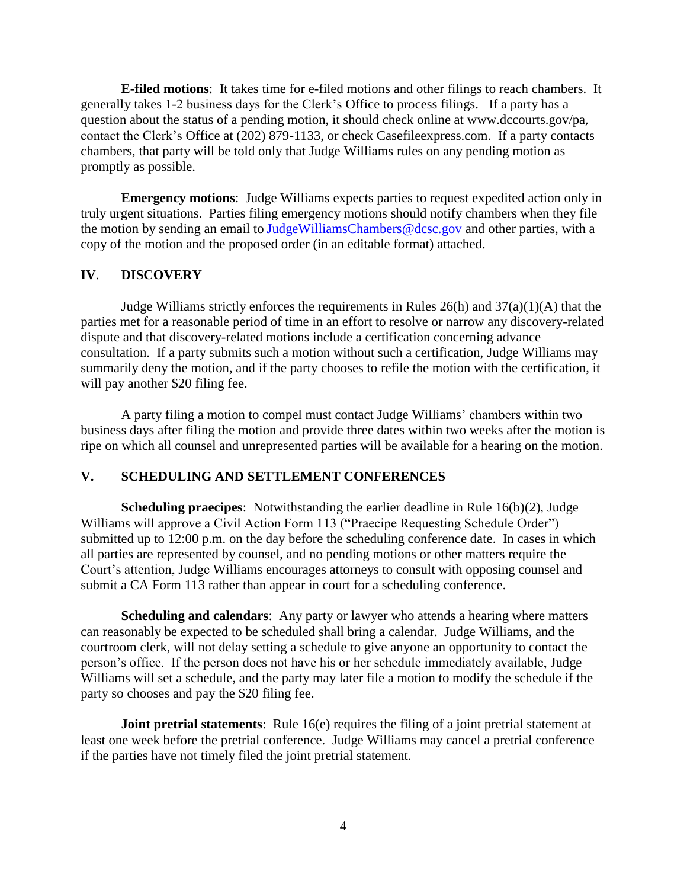**E-filed motions**: It takes time for e-filed motions and other filings to reach chambers. It generally takes 1-2 business days for the Clerk's Office to process filings. If a party has a question about the status of a pending motion, it should check online at www.dccourts.gov/pa, contact the Clerk's Office at (202) 879-1133, or check Casefileexpress.com. If a party contacts chambers, that party will be told only that Judge Williams rules on any pending motion as promptly as possible.

**Emergency motions**: Judge Williams expects parties to request expedited action only in truly urgent situations. Parties filing emergency motions should notify chambers when they file the motion by sending an email to [JudgeWilliamsChambers@dcsc.gov](mailto:JudgeWilliamsChambers@dcsc.gov) and other parties, with a copy of the motion and the proposed order (in an editable format) attached.

#### **IV**. **DISCOVERY**

Judge Williams strictly enforces the requirements in Rules 26(h) and 37(a)(1)(A) that the parties met for a reasonable period of time in an effort to resolve or narrow any discovery-related dispute and that discovery-related motions include a certification concerning advance consultation. If a party submits such a motion without such a certification, Judge Williams may summarily deny the motion, and if the party chooses to refile the motion with the certification, it will pay another \$20 filing fee.

A party filing a motion to compel must contact Judge Williams' chambers within two business days after filing the motion and provide three dates within two weeks after the motion is ripe on which all counsel and unrepresented parties will be available for a hearing on the motion.

### **V. SCHEDULING AND SETTLEMENT CONFERENCES**

**Scheduling praecipes**: Notwithstanding the earlier deadline in Rule 16(b)(2), Judge Williams will approve a Civil Action Form 113 ("Praecipe Requesting Schedule Order") submitted up to 12:00 p.m. on the day before the scheduling conference date. In cases in which all parties are represented by counsel, and no pending motions or other matters require the Court's attention, Judge Williams encourages attorneys to consult with opposing counsel and submit a CA Form 113 rather than appear in court for a scheduling conference.

**Scheduling and calendars**: Any party or lawyer who attends a hearing where matters can reasonably be expected to be scheduled shall bring a calendar. Judge Williams, and the courtroom clerk, will not delay setting a schedule to give anyone an opportunity to contact the person's office. If the person does not have his or her schedule immediately available, Judge Williams will set a schedule, and the party may later file a motion to modify the schedule if the party so chooses and pay the \$20 filing fee.

**Joint pretrial statements**: Rule 16(e) requires the filing of a joint pretrial statement at least one week before the pretrial conference. Judge Williams may cancel a pretrial conference if the parties have not timely filed the joint pretrial statement.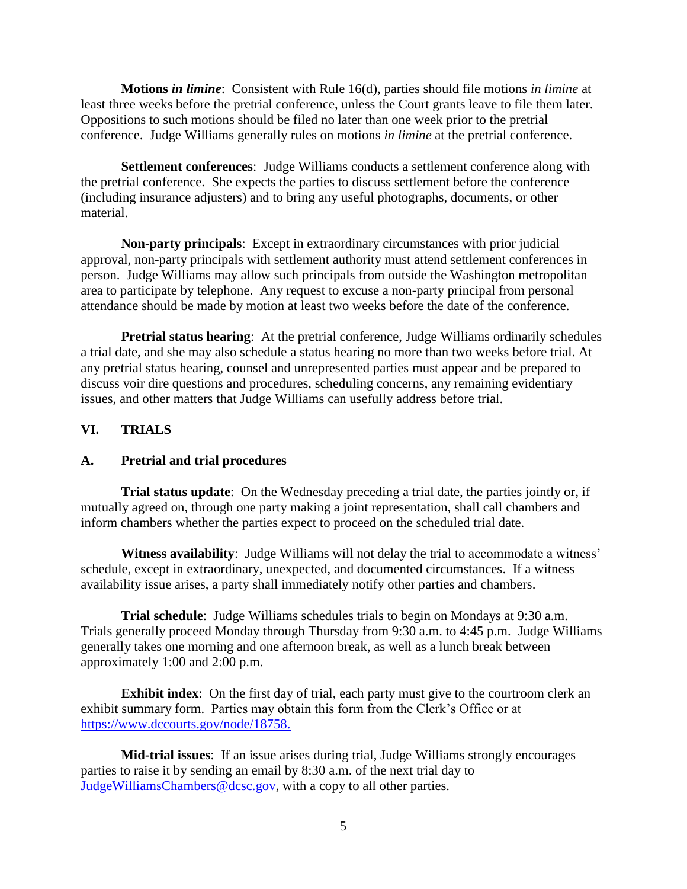**Motions** *in limine*: Consistent with Rule 16(d), parties should file motions *in limine* at least three weeks before the pretrial conference, unless the Court grants leave to file them later. Oppositions to such motions should be filed no later than one week prior to the pretrial conference. Judge Williams generally rules on motions *in limine* at the pretrial conference.

**Settlement conferences**: Judge Williams conducts a settlement conference along with the pretrial conference. She expects the parties to discuss settlement before the conference (including insurance adjusters) and to bring any useful photographs, documents, or other material.

**Non-party principals**: Except in extraordinary circumstances with prior judicial approval, non-party principals with settlement authority must attend settlement conferences in person. Judge Williams may allow such principals from outside the Washington metropolitan area to participate by telephone. Any request to excuse a non-party principal from personal attendance should be made by motion at least two weeks before the date of the conference.

**Pretrial status hearing:** At the pretrial conference, Judge Williams ordinarily schedules a trial date, and she may also schedule a status hearing no more than two weeks before trial. At any pretrial status hearing, counsel and unrepresented parties must appear and be prepared to discuss voir dire questions and procedures, scheduling concerns, any remaining evidentiary issues, and other matters that Judge Williams can usefully address before trial.

### **VI. TRIALS**

### **A. Pretrial and trial procedures**

**Trial status update**: On the Wednesday preceding a trial date, the parties jointly or, if mutually agreed on, through one party making a joint representation, shall call chambers and inform chambers whether the parties expect to proceed on the scheduled trial date.

**Witness availability**: Judge Williams will not delay the trial to accommodate a witness' schedule, except in extraordinary, unexpected, and documented circumstances. If a witness availability issue arises, a party shall immediately notify other parties and chambers.

**Trial schedule**: Judge Williams schedules trials to begin on Mondays at 9:30 a.m. Trials generally proceed Monday through Thursday from 9:30 a.m. to 4:45 p.m. Judge Williams generally takes one morning and one afternoon break, as well as a lunch break between approximately 1:00 and 2:00 p.m.

**Exhibit index**: On the first day of trial, each party must give to the courtroom clerk an exhibit summary form. Parties may obtain this form from the Clerk's Office or at [https://www.dccourts.gov/node/18758.](https://www.dccourts.gov/node/18758)

**Mid-trial issues**: If an issue arises during trial, Judge Williams strongly encourages parties to raise it by sending an email by 8:30 a.m. of the next trial day to [JudgeWilliamsChambers@dcsc.gov,](mailto:JudgeEpsteinChambers@dcsc.gov) with a copy to all other parties.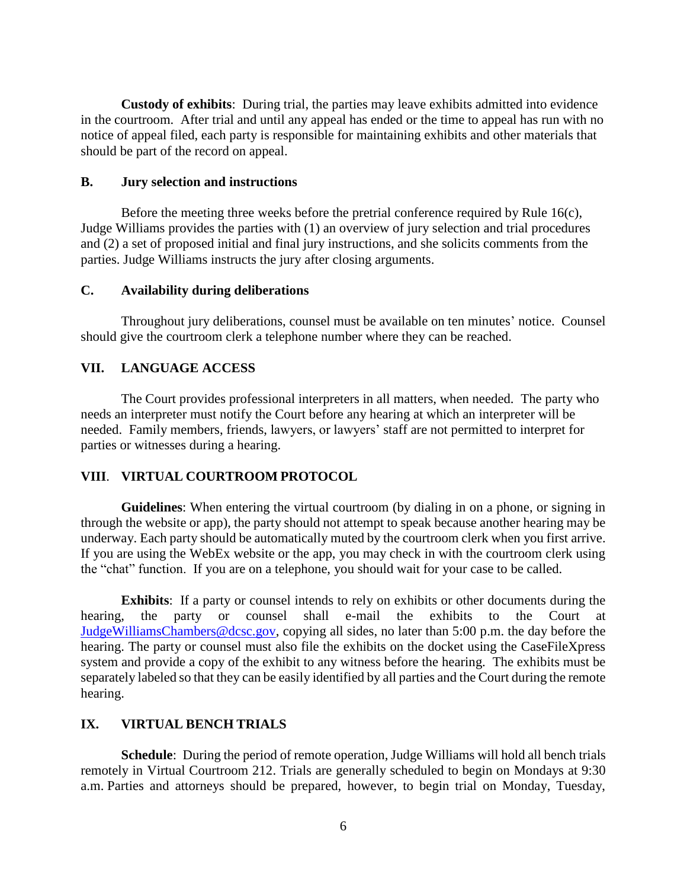**Custody of exhibits**: During trial, the parties may leave exhibits admitted into evidence in the courtroom. After trial and until any appeal has ended or the time to appeal has run with no notice of appeal filed, each party is responsible for maintaining exhibits and other materials that should be part of the record on appeal.

#### **B. Jury selection and instructions**

Before the meeting three weeks before the pretrial conference required by Rule 16(c), Judge Williams provides the parties with (1) an overview of jury selection and trial procedures and (2) a set of proposed initial and final jury instructions, and she solicits comments from the parties. Judge Williams instructs the jury after closing arguments.

#### **C. Availability during deliberations**

Throughout jury deliberations, counsel must be available on ten minutes' notice. Counsel should give the courtroom clerk a telephone number where they can be reached.

### **VII. LANGUAGE ACCESS**

The Court provides professional interpreters in all matters, when needed. The party who needs an interpreter must notify the Court before any hearing at which an interpreter will be needed. Family members, friends, lawyers, or lawyers' staff are not permitted to interpret for parties or witnesses during a hearing.

### **VIII**. **VIRTUAL COURTROOM PROTOCOL**

**Guidelines**: When entering the virtual courtroom (by dialing in on a phone, or signing in through the website or app), the party should not attempt to speak because another hearing may be underway. Each party should be automatically muted by the courtroom clerk when you first arrive. If you are using the WebEx website or the app, you may check in with the courtroom clerk using the "chat" function. If you are on a telephone, you should wait for your case to be called.

**Exhibits**: If a party or counsel intends to rely on exhibits or other documents during the hearing, the party or counsel shall e-mail the exhibits to the Court at [JudgeWilliamsChambers@dcsc.gov,](mailto:JudgeEpsteinChambers@dcsc.gov) copying all sides, no later than 5:00 p.m. the day before the hearing. The party or counsel must also file the exhibits on the docket using the CaseFileXpress system and provide a copy of the exhibit to any witness before the hearing. The exhibits must be separately labeled so that they can be easily identified by all parties and the Court during the remote hearing.

## **IX. VIRTUAL BENCH TRIALS**

**Schedule**: During the period of remote operation, Judge Williams will hold all bench trials remotely in Virtual Courtroom 212. Trials are generally scheduled to begin on Mondays at 9:30 a.m. Parties and attorneys should be prepared, however, to begin trial on Monday, Tuesday,